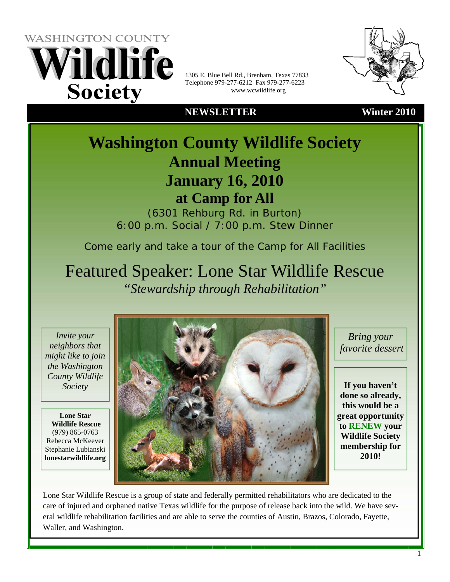**WASHINGTON COUNTY** Vildlife **Society** 

1305 E. Blue Bell Rd., Brenham, Texas 77833 Telephone 979-277-6212 Fax 979-277-6223 www.wcwildlife.org

### **NEWSLETTER Winter 2010**

 **Washington County Wildlife Society Annual Meeting January 16, 2010 at Camp for All** 

> (6301 Rehburg Rd. in Burton) 6:00 p.m. Social / 7:00 p.m. Stew Dinner

Come early and take a tour of the Camp for All Facilities

Featured Speaker: Lone Star Wildlife Rescue *"Stewardship through Rehabilitation"* 

*Invite your neighbors that might like to join the Washington County Wildlife Society*

**Lone Star Wildlife Rescue**  (979) 865-0763 Rebecca McKeever Stephanie Lubianski **lonestarwildlife.org** 



*Bring your favorite dessert* 

**If you haven't done so already, this would be a great opportunity to RENEW your Wildlife Society membership for 2010!** 

Lone Star Wildlife Rescue is a group of state and federally permitted rehabilitators who are dedicated to the care of injured and orphaned native Texas wildlife for the purpose of release back into the wild. We have several wildlife rehabilitation facilities and are able to serve the counties of Austin, Brazos, Colorado, Fayette, Waller, and Washington.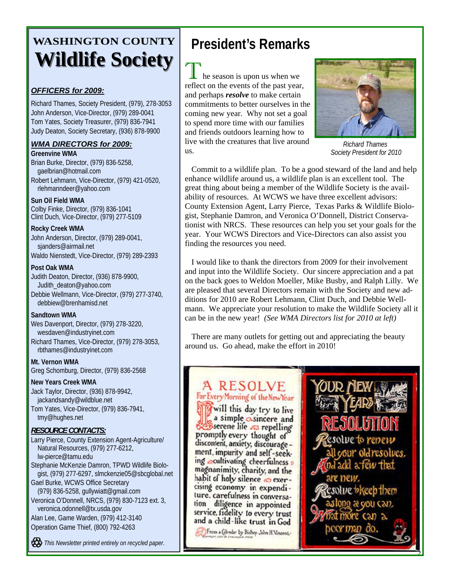# **WASHINGTON COUNTY Wildlife Society Wildlife Society**

### *OFFICERS for 2009:*

Richard Thames, Society President, (979), 278-3053 John Anderson, Vice-Director, (979) 289-0041 Tom Yates, Society Treasurer, (979) 836-7941 Judy Deaton, Society Secretary, (936) 878-9900

### *WMA DIRECTORS for 2009:*

**Greenvine WMA**  Brian Burke, Director, (979) 836-5258, gaelbrian@hotmail.com Robert Lehmann, Vice-Director, (979) 421-0520,

rlehmanndeer@yahoo.com

### **Sun Oil Field WMA**

Colby Finke, Director, (979) 836-1041 Clint Duch, Vice-Director, (979) 277-5109

#### **Rocky Creek WMA**

John Anderson, Director, (979) 289-0041, sjanders@airmail.net Waldo Nienstedt, Vice-Director, (979) 289-2393

#### **Post Oak WMA**

Judith Deaton, Director, (936) 878-9900, Judith\_deaton@yahoo.com Debbie Wellmann, Vice-Director, (979) 277-3740, debbiew@brenhamisd.net

#### **Sandtown WMA**

Wes Davenport, Director, (979) 278-3220, wesdaven@industryinet.com Richard Thames, Vice-Director, (979) 278-3053, rbthames@industryinet.com

**Mt. Vernon WMA**  Greg Schomburg, Director, (979) 836-2568

**New Years Creek WMA**  Jack Taylor, Director, (936) 878-9942, jackandsandy@wildblue.net

Tom Yates, Vice-Director, (979) 836-7941, tmy@hughes.net

### *RESOURCE CONTACTS:*

Larry Pierce, County Extension Agent-Agriculture/ Natural Resources, (979) 277-6212, lw-pierce@tamu.edu

Stephanie McKenzie Damron, TPWD Wildlife Biologist, (979) 277-6297, slmckenzie05@sbcglobal.net

Gael Burke, WCWS Office Secretary (979) 836-5258, gullywiatt@gmail.com Veronica O'Donnell, NRCS, (979) 830-7123 ext. 3,

veronica.odonnell@tx.usda.gov

Alan Lee, Game Warden, (979) 412-3140 Operation Game Thief, (800) 792-4263

*This Newsletter printed entirely on recycled paper.* 

## **President's Remarks**

 $\mathbf \mathbf{L}$  he season is upon us when we reflect on the events of the past year, and perhaps *resolve* to make certain commitments to better ourselves in the coming new year. Why not set a goal to spend more time with our families and friends outdoors learning how to live with the creatures that live around us.



*Richard Thames Society President for 2010* 

Commit to a wildlife plan. To be a good steward of the land and help enhance wildlife around us, a wildlife plan is an excellent tool. The great thing about being a member of the Wildlife Society is the availability of resources. At WCWS we have three excellent advisors: County Extension Agent, Larry Pierce, Texas Parks & Wildlife Biologist, Stephanie Damron, and Veronica O'Donnell, District Conservationist with NRCS. These resources can help you set your goals for the year. Your WCWS Directors and Vice-Directors can also assist you finding the resources you need.

I would like to thank the directors from 2009 for their involvement and input into the Wildlife Society. Our sincere appreciation and a pat on the back goes to Weldon Moeller, Mike Busby, and Ralph Lilly. We are pleased that several Directors remain with the Society and new additions for 2010 are Robert Lehmann, Clint Duch, and Debbie Wellmann. We appreciate your resolution to make the Wildlife Society all it can be in the new year! *(See WMA Directors list for 2010 at left)* 

There are many outlets for getting out and appreciating the beauty around us. Go ahead, make the effort in 2010!

## A RESOLVE

For Every Morning of the New Year will this day try to live a simple *cosincere* and Sserene life as repelling promptly every thought of discontent, anxiety, discourage ment, impurity and self-seeking ocultivating cheerfulness a magnanimity, charity, and the habit of holy silence o exercising economy in expenditure, carefulness in conversation diligence in appointed service, fidelity to every trust and a child-like trust in God

From a Calendar by Bishop John H. Vincent

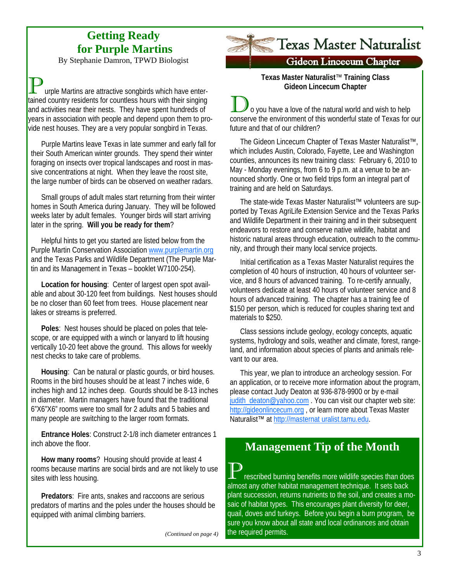## **Getting Ready for Purple Martins**

By Stephanie Damron, TPWD Biologist

urple Martins are attractive songbirds which have entertained country residents for countless hours with their singing and activities near their nests. They have spent hundreds of years in association with people and depend upon them to provide nest houses. They are a very popular songbird in Texas.

Purple Martins leave Texas in late summer and early fall for their South American winter grounds. They spend their winter foraging on insects over tropical landscapes and roost in massive concentrations at night. When they leave the roost site, the large number of birds can be observed on weather radars.

Small groups of adult males start returning from their winter homes in South America during January. They will be followed weeks later by adult females. Younger birds will start arriving later in the spring. **Will you be ready for them**?

Helpful hints to get you started are listed below from the Purple Martin Conservation Association www.purplemartin.org and the Texas Parks and Wildlife Department (The Purple Martin and its Management in Texas – booklet W7100-254).

**Location for housing**: Center of largest open spot available and about 30-120 feet from buildings. Nest houses should be no closer than 60 feet from trees. House placement near lakes or streams is preferred.

**Poles**: Nest houses should be placed on poles that telescope, or are equipped with a winch or lanyard to lift housing vertically 10-20 feet above the ground. This allows for weekly nest checks to take care of problems.

**Housing**: Can be natural or plastic gourds, or bird houses. Rooms in the bird houses should be at least 7 inches wide, 6 inches high and 12 inches deep. Gourds should be 8-13 inches in diameter. Martin managers have found that the traditional 6"X6"X6" rooms were too small for 2 adults and 5 babies and many people are switching to the larger room formats.

**Entrance Holes**: Construct 2-1/8 inch diameter entrances 1 inch above the floor.

**How many rooms**? Housing should provide at least 4 rooms because martins are social birds and are not likely to use sites with less housing.

**Predators**: Fire ants, snakes and raccoons are serious predators of martins and the poles under the houses should be equipped with animal climbing barriers.

*(Continued on page 4)* 

# Texas Master Naturalist

### **Gideon Lincecum Chapter**

**Texas Master Naturalist**™ **Training Class Gideon Lincecum Chapter**

o you have a love of the natural world and wish to help conserve the environment of this wonderful state of Texas for our future and that of our children?

The Gideon Lincecum Chapter of Texas Master Naturalist™, which includes Austin, Colorado, Fayette, Lee and Washington counties, announces its new training class: February 6, 2010 to May - Monday evenings, from 6 to 9 p.m. at a venue to be announced shortly. One or two field trips form an integral part of training and are held on Saturdays.

The state-wide Texas Master Naturalist™ volunteers are supported by Texas AgriLife Extension Service and the Texas Parks and Wildlife Department in their training and in their subsequent endeavors to restore and conserve native wildlife, habitat and historic natural areas through education, outreach to the community, and through their many local service projects.

Initial certification as a Texas Master Naturalist requires the completion of 40 hours of instruction, 40 hours of volunteer service, and 8 hours of advanced training. To re-certify annually, volunteers dedicate at least 40 hours of volunteer service and 8 hours of advanced training. The chapter has a training fee of \$150 per person, which is reduced for couples sharing text and materials to \$250.

Class sessions include geology, ecology concepts, aquatic systems, hydrology and soils, weather and climate, forest, rangeland, and information about species of plants and animals relevant to our area.

This year, we plan to introduce an archeology session. For an application, or to receive more information about the program, please contact Judy Deaton at 936-878-9900 or by e-mail judith\_deaton@yahoo.com . You can visit our chapter web site: http://gideonlincecum.org , or learn more about Texas Master Naturalist™ at http://masternat uralist.tamu.edu.

## **Management Tip of the Month**

rescribed burning benefits more wildlife species than does almost any other habitat management technique. It sets back plant succession, returns nutrients to the soil, and creates a mosaic of habitat types. This encourages plant diversity for deer, quail, doves and turkeys. Before you begin a burn program, be sure you know about all state and local ordinances and obtain the required permits.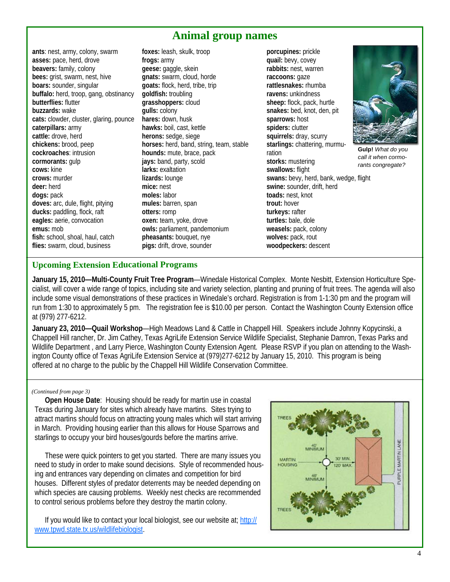## **Animal group names**

**ants**: nest, army, colony, swarm **asses:** pace, herd, drove **beavers:** family, colony **bees:** grist, swarm, nest, hive **boars:** sounder, singular **buffalo:** herd, troop, gang, obstinancy **butterflies:** flutter **buzzards:** wake **cats:** clowder, cluster, glaring, pounce **caterpillars:** army **cattle:** drove, herd **chickens:** brood, peep **cockroaches**: intrusion **cormorants:** gulp **cows:** kine **crows:** murder **deer:** herd **dogs:** pack **doves:** arc, dule, flight, pitying **ducks:** paddling, flock, raft **eagles:** aerie, convocation **emus:** mob **fish:** school, shoal, haul, catch **flies:** swarm, cloud, business

**foxes:** leash, skulk, troop **frogs:** army **geese:** gaggle, skein **gnats:** swarm, cloud, horde **goats:** flock, herd, tribe, trip **goldfish:** troubling **grasshoppers:** cloud **gulls:** colony **hares:** down, husk **hawks:** boil, cast, kettle **herons:** sedge, siege **horses:** herd, band, string, team, stable **hounds:** mute, brace, pack **jays:** band, party, scold **larks:** exaltation **lizards:** lounge **mice:** nest **moles:** labor **mules:** barren, span **otters:** romp **oxen:** team, yoke, drove **owls:** parliament, pandemonium **pheasants:** bouquet, nye **pigs:** drift, drove, sounder

**porcupines:** prickle **quail:** bevy, covey **rabbits:** nest, warren **raccoons:** gaze **rattlesnakes:** rhumba **ravens:** unkindness **sheep:** flock, pack, hurtle **snakes:** bed, knot, den, pit **sparrows:** host spiders: clutter **squirrels:** dray, scurry **starlings:** chattering, murmuration **storks:** mustering **swallows:** flight **swans:** bevy, herd, bank, wedge, flight **swine:** sounder, drift, herd **toads:** nest, knot **trout:** hover **turkeys:** rafter **turtles:** bale, dole **weasels:** pack, colony **wolves:** pack, rout **woodpeckers:** descent



**Gulp!** *What do you call it when cormorants congregate?*

### **Upcoming Extension Educational Programs**

**January 15, 2010—Multi-County Fruit Tree Program**—Winedale Historical Complex. Monte Nesbitt, Extension Horticulture Specialist, will cover a wide range of topics, including site and variety selection, planting and pruning of fruit trees. The agenda will also include some visual demonstrations of these practices in Winedale's orchard. Registration is from 1-1:30 pm and the program will run from 1:30 to approximately 5 pm. The registration fee is \$10.00 per person. Contact the Washington County Extension office at (979) 277-6212.

**January 23, 2010—Quail Workshop**—High Meadows Land & Cattle in Chappell Hill. Speakers include Johnny Kopycinski, a Chappell Hill rancher, Dr. Jim Cathey, Texas AgriLife Extension Service Wildlife Specialist, Stephanie Damron, Texas Parks and Wildlife Department , and Larry Pierce, Washington County Extension Agent. Please RSVP if you plan on attending to the Washington County office of Texas AgriLife Extension Service at (979)277-6212 by January 15, 2010. This program is being offered at no charge to the public by the Chappell Hill Wildlife Conservation Committee.

#### *(Continued from page 3)*

**Open House Date**: Housing should be ready for martin use in coastal Texas during January for sites which already have martins. Sites trying to attract martins should focus on attracting young males which will start arriving in March. Providing housing earlier than this allows for House Sparrows and starlings to occupy your bird houses/gourds before the martins arrive.

These were quick pointers to get you started. There are many issues you need to study in order to make sound decisions. Style of recommended housing and entrances vary depending on climates and competition for bird houses. Different styles of predator deterrents may be needed depending on which species are causing problems. Weekly nest checks are recommended to control serious problems before they destroy the martin colony.

If you would like to contact your local biologist, see our website at; http:// www.tpwd.state.tx.us/wildlifebiologist.

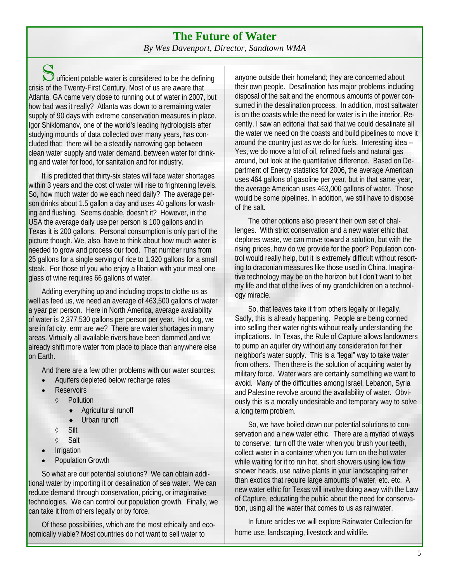### **The Future of Water**  *By Wes Davenport, Director, Sandtown WMA*

 $S$  ufficient potable water is considered to be the defining crisis of the Twenty-First Century. Most of us are aware that Atlanta, GA came very close to running out of water in 2007, but how bad was it really? Atlanta was down to a remaining water supply of 90 days with extreme conservation measures in place. Igor Shiklomanov, one of the world's leading hydrologists after studying mounds of data collected over many years, has concluded that: there will be a steadily narrowing gap between clean water supply and water demand, between water for drinking and water for food, for sanitation and for industry.

It is predicted that thirty-six states will face water shortages within 3 years and the cost of water will rise to frightening levels. So, how much water do we each need daily? The average person drinks about 1.5 gallon a day and uses 40 gallons for washing and flushing. Seems doable, doesn't it? However, in the USA the average daily use per person is 100 gallons and in Texas it is 200 gallons. Personal consumption is only part of the picture though. We, also, have to think about how much water is needed to grow and process our food. That number runs from 25 gallons for a single serving of rice to 1,320 gallons for a small steak. For those of you who enjoy a libation with your meal one glass of wine requires 66 gallons of water.

Adding everything up and including crops to clothe us as well as feed us, we need an average of 463,500 gallons of water a year per person. Here in North America, average availability of water is 2,377,530 gallons per person per year. Hot dog, we are in fat city, errrr are we? There are water shortages in many areas. Virtually all available rivers have been dammed and we already shift more water from place to place than anywhere else on Earth.

And there are a few other problems with our water sources:

- Aquifers depleted below recharge rates
- **Reservoirs** 
	- ◊ Pollution
		- ♦ Agricultural runoff
		- Urban runoff
	- ◊ Silt
	- ◊ Salt
- **Irrigation**
- Population Growth

So what are our potential solutions? We can obtain additional water by importing it or desalination of sea water. We can reduce demand through conservation, pricing, or imaginative technologies. We can control our population growth. Finally, we can take it from others legally or by force.

Of these possibilities, which are the most ethically and economically viable? Most countries do not want to sell water to

anyone outside their homeland; they are concerned about their own people. Desalination has major problems including disposal of the salt and the enormous amounts of power consumed in the desalination process. In addition, most saltwater is on the coasts while the need for water is in the interior. Recently, I saw an editorial that said that we could desalinate all the water we need on the coasts and build pipelines to move it around the country just as we do for fuels. Interesting idea -- Yes, we do move a lot of oil, refined fuels and natural gas around, but look at the quantitative difference. Based on Department of Energy statistics for 2006, the average American uses 464 gallons of gasoline per year, but in that same year, the average American uses 463,000 gallons of water. Those would be some pipelines. In addition, we still have to dispose of the salt.

The other options also present their own set of challenges. With strict conservation and a new water ethic that deplores waste, we can move toward a solution, but with the rising prices, how do we provide for the poor? Population control would really help, but it is extremely difficult without resorting to draconian measures like those used in China. Imaginative technology may be on the horizon but I don't want to bet my life and that of the lives of my grandchildren on a technology miracle.

So, that leaves take it from others legally or illegally. Sadly, this is already happening. People are being conned into selling their water rights without really understanding the implications. In Texas, the Rule of Capture allows landowners to pump an aquifer dry without any consideration for their neighbor's water supply. This is a "legal" way to take water from others. Then there is the solution of acquiring water by military force. Water wars are certainly something we want to avoid. Many of the difficulties among Israel, Lebanon, Syria and Palestine revolve around the availability of water. Obviously this is a morally undesirable and temporary way to solve a long term problem.

So, we have boiled down our potential solutions to conservation and a new water ethic. There are a myriad of ways to conserve: turn off the water when you brush your teeth, collect water in a container when you turn on the hot water while waiting for it to run hot, short showers using low flow shower heads, use native plants in your landscaping rather than exotics that require large amounts of water, etc. etc. A new water ethic for Texas will involve doing away with the Law of Capture, educating the public about the need for conservation, using all the water that comes to us as rainwater.

In future articles we will explore Rainwater Collection for home use, landscaping, livestock and wildlife.